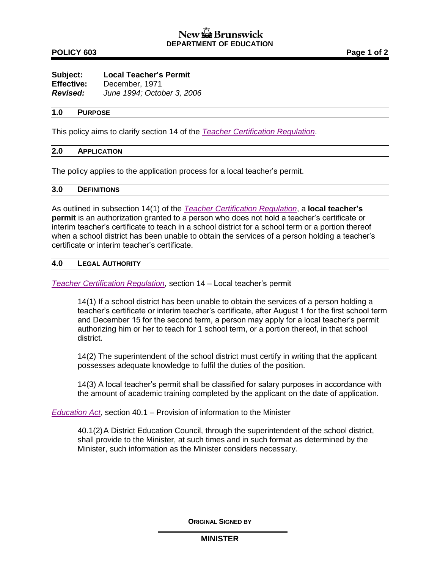# **POLICY 603 Page 1 of 2**

| Subject:          | <b>Local Teacher's Permit</b> |
|-------------------|-------------------------------|
| <b>Effective:</b> | December, 1971                |
| <b>Revised:</b>   | June 1994; October 3, 2006    |

#### **1.0 PURPOSE**

This policy aims to clarify section 14 of the *[Teacher Certification Regulation](http://laws.gnb.ca/en/ShowPdf/cr/2004-8.pdf)*.

## **2.0 APPLICATION**

The policy applies to the application process for a local teacher's permit.

## **3.0 DEFINITIONS**

As outlined in subsection 14(1) of the *[Teacher Certification Regulation](http://laws.gnb.ca/en/ShowPdf/cr/2004-8.pdf)*, a **local teacher's permit** is an authorization granted to a person who does not hold a teacher's certificate or interim teacher's certificate to teach in a school district for a school term or a portion thereof when a school district has been unable to obtain the services of a person holding a teacher's certificate or interim teacher's certificate.

## **4.0 LEGAL AUTHORITY**

*[Teacher Certification Regulation](http://laws.gnb.ca/en/ShowPdf/cr/2004-8.pdf)*, section 14 – Local teacher's permit

14(1) If a school district has been unable to obtain the services of a person holding a teacher's certificate or interim teacher's certificate, after August 1 for the first school term and December 15 for the second term, a person may apply for a local teacher's permit authorizing him or her to teach for 1 school term, or a portion thereof, in that school district.

14(2) The superintendent of the school district must certify in writing that the applicant possesses adequate knowledge to fulfil the duties of the position.

14(3) A local teacher's permit shall be classified for salary purposes in accordance with the amount of academic training completed by the applicant on the date of application.

*[Education Act,](http://laws.gnb.ca/en/ShowPdf/cs/E-1.12.pdf)* section 40.1 – Provision of information to the Minister

40.1(2)A District Education Council, through the superintendent of the school district, shall provide to the Minister, at such times and in such format as determined by the Minister, such information as the Minister considers necessary.

**ORIGINAL SIGNED BY**